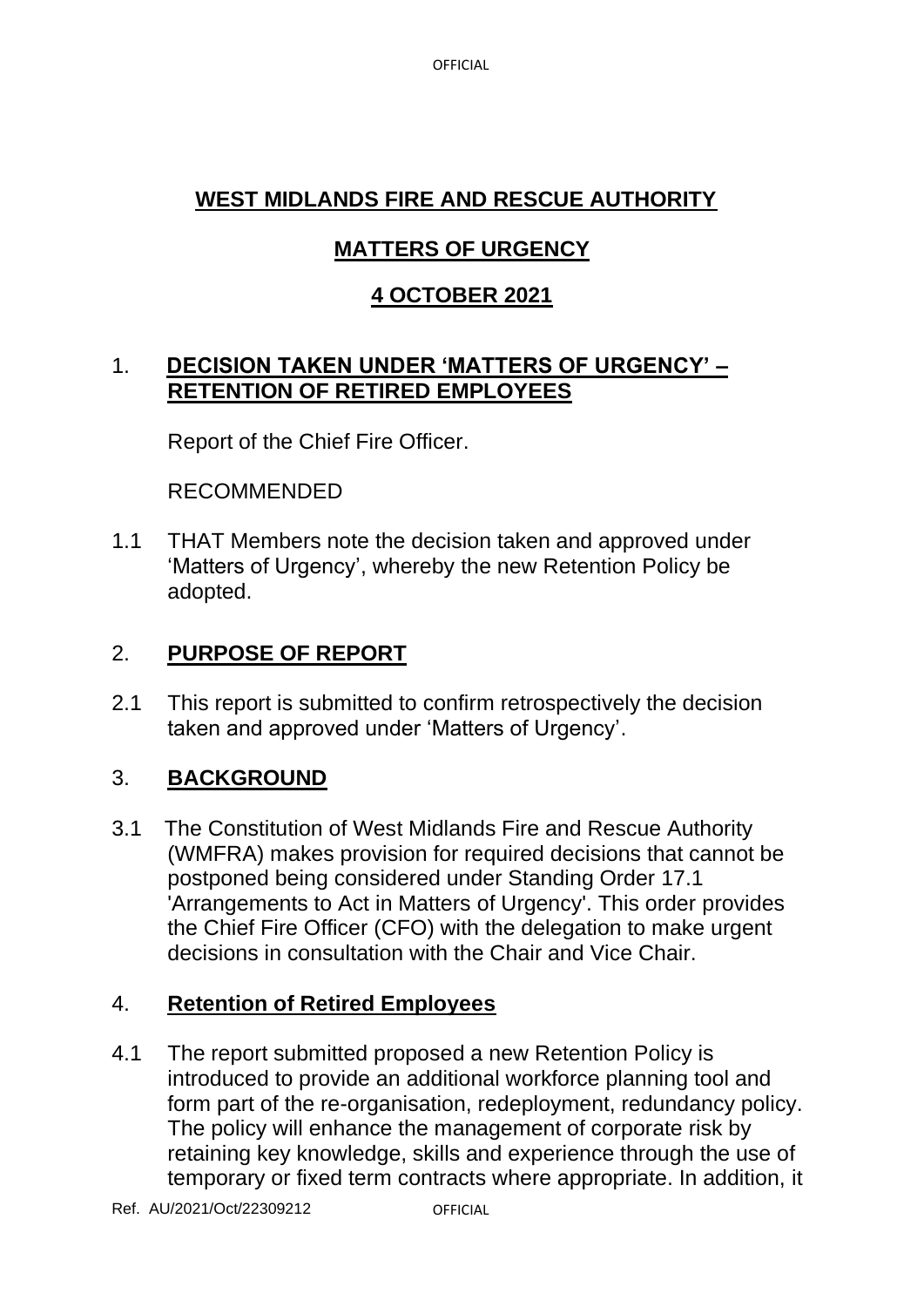**OFFICIAL** 

# **WEST MIDLANDS FIRE AND RESCUE AUTHORITY**

# **MATTERS OF URGENCY**

# **4 OCTOBER 2021**

## 1. **DECISION TAKEN UNDER 'MATTERS OF URGENCY' – RETENTION OF RETIRED EMPLOYEES**

Report of the Chief Fire Officer.

RECOMMENDED

1.1 THAT Members note the decision taken and approved under 'Matters of Urgency', whereby the new Retention Policy be adopted.

# 2. **PURPOSE OF REPORT**

2.1 This report is submitted to confirm retrospectively the decision taken and approved under 'Matters of Urgency'.

## 3. **BACKGROUND**

3.1 The Constitution of West Midlands Fire and Rescue Authority (WMFRA) makes provision for required decisions that cannot be postponed being considered under Standing Order 17.1 'Arrangements to Act in Matters of Urgency'. This order provides the Chief Fire Officer (CFO) with the delegation to make urgent decisions in consultation with the Chair and Vice Chair.

### 4. **Retention of Retired Employees**

4.1 The report submitted proposed a new Retention Policy is introduced to provide an additional workforce planning tool and form part of the re-organisation, redeployment, redundancy policy. The policy will enhance the management of corporate risk by retaining key knowledge, skills and experience through the use of temporary or fixed term contracts where appropriate. In addition, it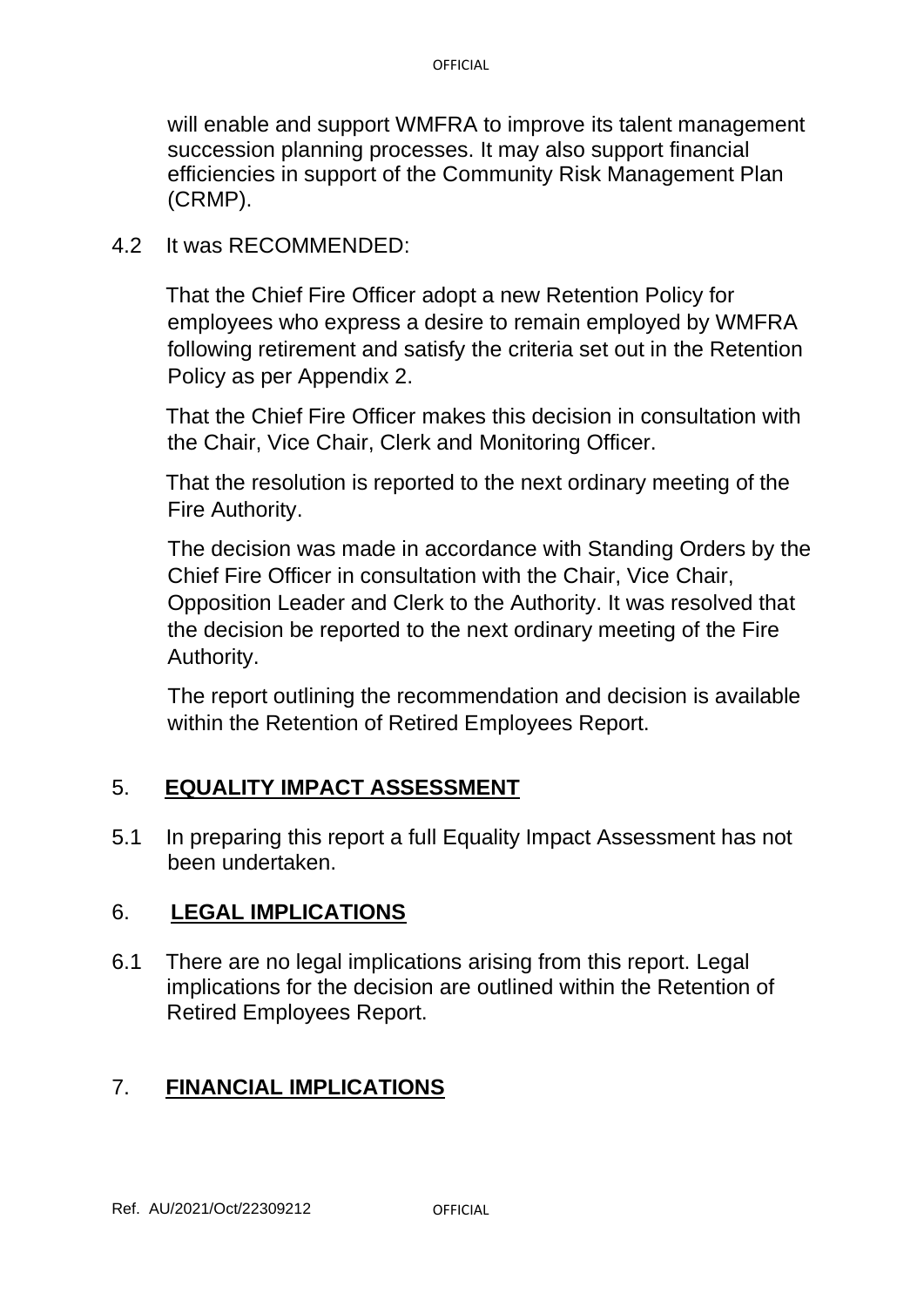will enable and support WMFRA to improve its talent management succession planning processes. It may also support financial efficiencies in support of the Community Risk Management Plan (CRMP).

#### 4.2 It was RECOMMENDED:

 That the Chief Fire Officer adopt a new Retention Policy for employees who express a desire to remain employed by WMFRA following retirement and satisfy the criteria set out in the Retention Policy as per Appendix 2.

 That the Chief Fire Officer makes this decision in consultation with the Chair, Vice Chair, Clerk and Monitoring Officer.

 That the resolution is reported to the next ordinary meeting of the Fire Authority.

The decision was made in accordance with Standing Orders by the Chief Fire Officer in consultation with the Chair, Vice Chair, Opposition Leader and Clerk to the Authority. It was resolved that the decision be reported to the next ordinary meeting of the Fire Authority.

The report outlining the recommendation and decision is available within the Retention of Retired Employees Report.

### 5. **EQUALITY IMPACT ASSESSMENT**

5.1 In preparing this report a full Equality Impact Assessment has not been undertaken.

### 6. **LEGAL IMPLICATIONS**

6.1 There are no legal implications arising from this report. Legal implications for the decision are outlined within the Retention of Retired Employees Report.

### 7. **FINANCIAL IMPLICATIONS**